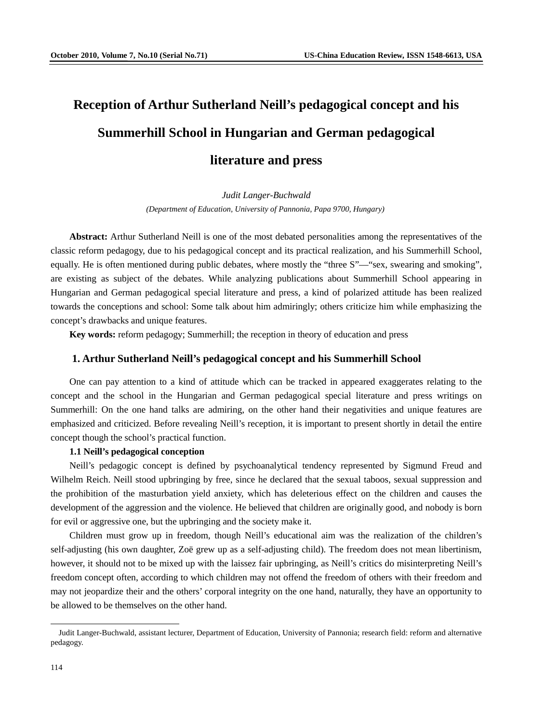# **Reception of Arthur Sutherland Neill's pedagogical concept and his Summerhill School in Hungarian and German pedagogical literature and press**

## *Judit Langer-Buchwald*

*(Department of Education, University of Pannonia, Papa 9700, Hungary)*

**Abstract:** Arthur Sutherland Neill is one of the most debated personalities among the representatives of the classic reform pedagogy, due to his pedagogical concept and its practical realization, and his Summerhill School, equally. He is often mentioned during public debates, where mostly the "three S"—"sex, swearing and smoking", are existing as subject of the debates. While analyzing publications about Summerhill School appearing in Hungarian and German pedagogical special literature and press, a kind of polarized attitude has been realized towards the conceptions and school: Some talk about him admiringly; others criticize him while emphasizing the concept's drawbacks and unique features.

**Key words:** reform pedagogy; Summerhill; the reception in theory of education and press

#### **1. Arthur Sutherland Neill's pedagogical concept and his Summerhill School**

One can pay attention to a kind of attitude which can be tracked in appeared exaggerates relating to the concept and the school in the Hungarian and German pedagogical special literature and press writings on Summerhill: On the one hand talks are admiring, on the other hand their negativities and unique features are emphasized and criticized. Before revealing Neill's reception, it is important to present shortly in detail the entire concept though the school's practical function.

#### **1.1 Neill's pedagogical conception**

Neill's pedagogic concept is defined by psychoanalytical tendency represented by Sigmund Freud and Wilhelm Reich. Neill stood upbringing by free, since he declared that the sexual taboos, sexual suppression and the prohibition of the masturbation yield anxiety, which has deleterious effect on the children and causes the development of the aggression and the violence. He believed that children are originally good, and nobody is born for evil or aggressive one, but the upbringing and the society make it.

Children must grow up in freedom, though Neill's educational aim was the realization of the children's self-adjusting (his own daughter, Zoë grew up as a self-adjusting child). The freedom does not mean libertinism, however, it should not to be mixed up with the laissez fair upbringing, as Neill's critics do misinterpreting Neill's freedom concept often, according to which children may not offend the freedom of others with their freedom and may not jeopardize their and the others' corporal integrity on the one hand, naturally, they have an opportunity to be allowed to be themselves on the other hand.

-

Judit Langer-Buchwald, assistant lecturer, Department of Education, University of Pannonia; research field: reform and alternative pedagogy.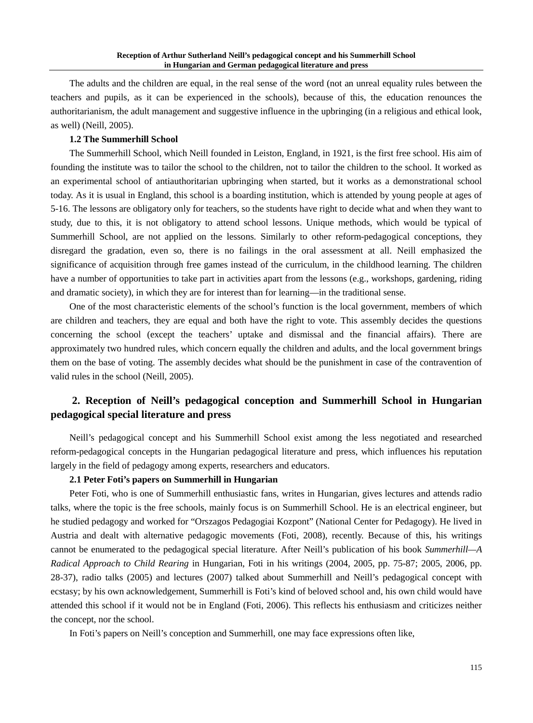The adults and the children are equal, in the real sense of the word (not an unreal equality rules between the teachers and pupils, as it can be experienced in the schools), because of this, the education renounces the authoritarianism, the adult management and suggestive influence in the upbringing (in a religious and ethical look, as well) (Neill, 2005).

#### **1.2 The Summerhill School**

The Summerhill School, which Neill founded in Leiston, England, in 1921, is the first free school. His aim of founding the institute was to tailor the school to the children, not to tailor the children to the school. It worked as an experimental school of antiauthoritarian upbringing when started, but it works as a demonstrational school today. As it is usual in England, this school is a boarding institution, which is attended by young people at ages of 5-16. The lessons are obligatory only for teachers, so the students have right to decide what and when they want to study, due to this, it is not obligatory to attend school lessons. Unique methods, which would be typical of Summerhill School, are not applied on the lessons. Similarly to other reform-pedagogical conceptions, they disregard the gradation, even so, there is no failings in the oral assessment at all. Neill emphasized the significance of acquisition through free games instead of the curriculum, in the childhood learning. The children have a number of opportunities to take part in activities apart from the lessons (e.g., workshops, gardening, riding and dramatic society), in which they are for interest than for learning—in the traditional sense.

One of the most characteristic elements of the school's function is the local government, members of which are children and teachers, they are equal and both have the right to vote. This assembly decides the questions concerning the school (except the teachers' uptake and dismissal and the financial affairs). There are approximately two hundred rules, which concern equally the children and adults, and the local government brings them on the base of voting. The assembly decides what should be the punishment in case of the contravention of valid rules in the school (Neill, 2005).

### **2. Reception of Neill's pedagogical conception and Summerhill School in Hungarian pedagogical special literature and press**

Neill's pedagogical concept and his Summerhill School exist among the less negotiated and researched reform-pedagogical concepts in the Hungarian pedagogical literature and press, which influences his reputation largely in the field of pedagogy among experts, researchers and educators.

### **2.1 Peter Foti's papers on Summerhill in Hungarian**

Peter Foti, who is one of Summerhill enthusiastic fans, writes in Hungarian, gives lectures and attends radio talks, where the topic is the free schools, mainly focus is on Summerhill School. He is an electrical engineer, but he studied pedagogy and worked for "Orszagos Pedagogiai Kozpont" (National Center for Pedagogy). He lived in Austria and dealt with alternative pedagogic movements (Foti, 2008), recently. Because of this, his writings cannot be enumerated to the pedagogical special literature. After Neill's publication of his book *Summerhill—A Radical Approach to Child Rearing* in Hungarian, Foti in his writings (2004, 2005, pp. 75-87; 2005, 2006, pp. 28-37), radio talks (2005) and lectures (2007) talked about Summerhill and Neill's pedagogical concept with ecstasy; by his own acknowledgement, Summerhill is Foti's kind of beloved school and, his own child would have attended this school if it would not be in England (Foti, 2006). This reflects his enthusiasm and criticizes neither the concept, nor the school.

In Foti's papers on Neill's conception and Summerhill, one may face expressions often like,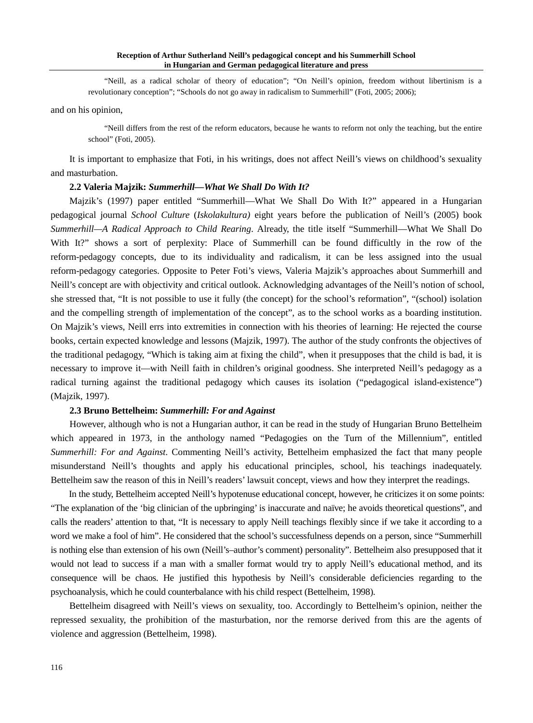"Neill, as a radical scholar of theory of education"; "On Neill's opinion, freedom without libertinism is a revolutionary conception"; "Schools do not go away in radicalism to Summerhill" (Foti, 2005; 2006);

and on his opinion,

"Neill differs from the rest of the reform educators, because he wants to reform not only the teaching, but the entire school" (Foti, 2005).

It is important to emphasize that Foti, in his writings, does not affect Neill's views on childhood's sexuality and masturbation.

#### **2.2 Valeria Majzik:** *Summerhill—What We Shall Do With It?*

Majzik's (1997) paper entitled "Summerhill—What We Shall Do With It?" appeared in a Hungarian pedagogical journal *School Culture* (*Iskolakultura)* eight years before the publication of Neill's (2005) book *Summerhill—A Radical Approach to Child Rearing*. Already, the title itself "Summerhill—What We Shall Do With It?" shows a sort of perplexity: Place of Summerhill can be found difficultly in the row of the reform-pedagogy concepts, due to its individuality and radicalism, it can be less assigned into the usual reform-pedagogy categories. Opposite to Peter Foti's views, Valeria Majzik's approaches about Summerhill and Neill's concept are with objectivity and critical outlook. Acknowledging advantages of the Neill's notion of school, she stressed that, "It is not possible to use it fully (the concept) for the school's reformation", "(school) isolation and the compelling strength of implementation of the concept", as to the school works as a boarding institution. On Majzik's views, Neill errs into extremities in connection with his theories of learning: He rejected the course books, certain expected knowledge and lessons (Majzik, 1997). The author of the study confronts the objectives of the traditional pedagogy, "Which is taking aim at fixing the child", when it presupposes that the child is bad, it is necessary to improve it—with Neill faith in children's original goodness. She interpreted Neill's pedagogy as a radical turning against the traditional pedagogy which causes its isolation ("pedagogical island-existence") (Majzik, 1997).

#### **2.3 Bruno Bettelheim:** *Summerhill: For and Against*

However, although who is not a Hungarian author, it can be read in the study of Hungarian Bruno Bettelheim which appeared in 1973, in the anthology named "Pedagogies on the Turn of the Millennium", entitled *Summerhill: For and Against*. Commenting Neill's activity, Bettelheim emphasized the fact that many people misunderstand Neill's thoughts and apply his educational principles, school, his teachings inadequately. Bettelheim saw the reason of this in Neill's readers' lawsuit concept, views and how they interpret the readings.

In the study, Bettelheim accepted Neill's hypotenuse educational concept, however, he criticizes it on some points: "The explanation of the 'big clinician of the upbringing' is inaccurate and naïve; he avoids theoretical questions", and calls the readers' attention to that, "It is necessary to apply Neill teachings flexibly since if we take it according to a word we make a fool of him". He considered that the school's successfulness depends on a person, since "Summerhill is nothing else than extension of his own (Neill's–author's comment) personality". Bettelheim also presupposed that it would not lead to success if a man with a smaller format would try to apply Neill's educational method, and its consequence will be chaos. He justified this hypothesis by Neill's considerable deficiencies regarding to the psychoanalysis, which he could counterbalance with his child respect (Bettelheim, 1998).

Bettelheim disagreed with Neill's views on sexuality, too. Accordingly to Bettelheim's opinion, neither the repressed sexuality, the prohibition of the masturbation, nor the remorse derived from this are the agents of violence and aggression (Bettelheim, 1998).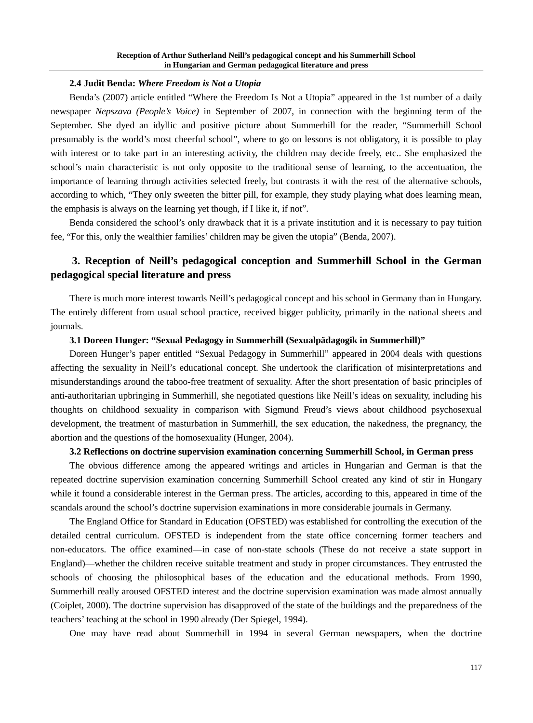#### **2.4 Judit Benda:** *Where Freedom is Not a Utopia*

Benda's (2007) article entitled "Where the Freedom Is Not a Utopia" appeared in the 1st number of a daily newspaper *Nepszava (People's Voice)* in September of 2007, in connection with the beginning term of the September. She dyed an idyllic and positive picture about Summerhill for the reader, "Summerhill School presumably is the world's most cheerful school", where to go on lessons is not obligatory, it is possible to play with interest or to take part in an interesting activity, the children may decide freely, etc.. She emphasized the school's main characteristic is not only opposite to the traditional sense of learning, to the accentuation, the importance of learning through activities selected freely, but contrasts it with the rest of the alternative schools, according to which, "They only sweeten the bitter pill, for example, they study playing what does learning mean, the emphasis is always on the learning yet though, if I like it, if not"*.*

Benda considered the school's only drawback that it is a private institution and it is necessary to pay tuition fee, "For this, only the wealthier families' children may be given the utopia" (Benda, 2007).

## **3. Reception of Neill's pedagogical conception and Summerhill School in the German pedagogical special literature and press**

There is much more interest towards Neill's pedagogical concept and his school in Germany than in Hungary. The entirely different from usual school practice, received bigger publicity, primarily in the national sheets and journals.

#### **3.1 Doreen Hunger: "Sexual Pedagogy in Summerhill (Sexualpädagogik in Summerhill)"**

Doreen Hunger's paper entitled "Sexual Pedagogy in Summerhill" appeared in 2004 deals with questions affecting the sexuality in Neill's educational concept. She undertook the clarification of misinterpretations and misunderstandings around the taboo-free treatment of sexuality. After the short presentation of basic principles of anti-authoritarian upbringing in Summerhill, she negotiated questions like Neill's ideas on sexuality, including his thoughts on childhood sexuality in comparison with Sigmund Freud's views about childhood psychosexual development, the treatment of masturbation in Summerhill, the sex education, the nakedness, the pregnancy, the abortion and the questions of the homosexuality (Hunger, 2004).

### **3.2 Reflections on doctrine supervision examination concerning Summerhill School, in German press**

The obvious difference among the appeared writings and articles in Hungarian and German is that the repeated doctrine supervision examination concerning Summerhill School created any kind of stir in Hungary while it found a considerable interest in the German press. The articles, according to this, appeared in time of the scandals around the school's doctrine supervision examinations in more considerable journals in Germany.

The England Office for Standard in Education (OFSTED) was established for controlling the execution of the detailed central curriculum. OFSTED is independent from the state office concerning former teachers and non-educators. The office examined—in case of non-state schools (These do not receive a state support in England)—whether the children receive suitable treatment and study in proper circumstances. They entrusted the schools of choosing the philosophical bases of the education and the educational methods. From 1990, Summerhill really aroused OFSTED interest and the doctrine supervision examination was made almost annually (Coiplet, 2000). The doctrine supervision has disapproved of the state of the buildings and the preparedness of the teachers' teaching at the school in 1990 already (Der Spiegel, 1994).

One may have read about Summerhill in 1994 in several German newspapers, when the doctrine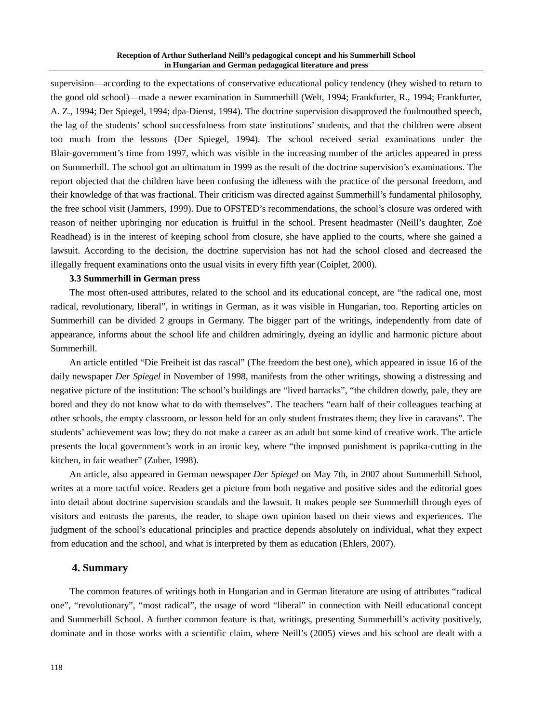supervision—according to the expectations of conservative educational policy tendency (they wished to return to the good old school)—made a newer examination in Summerhill (Welt, 1994; Frankfurter, R., 1994; Frankfurter, A. Z., 1994; Der Spiegel, 1994; dpa-Dienst, 1994). The doctrine supervision disapproved the foulmouthed speech, the lag of the students' school successfulness from state institutions' students, and that the children were absent too much from the lessons (Der Spiegel, 1994). The school received serial examinations under the Blair-government's time from 1997, which was visible in the increasing number of the articles appeared in press on Summerhill. The school got an ultimatum in 1999 as the result of the doctrine supervision's examinations. The report objected that the children have been confusing the idleness with the practice of the personal freedom, and their knowledge of that was fractional. Their criticism was directed against Summerhill's fundamental philosophy, the free school visit (Jammers, 1999). Due to OFSTED's recommendations, the school's closure was ordered with reason of neither upbringing nor education is fruitful in the school. Present headmaster (Neill's daughter, Zoë Readhead) is in the interest of keeping school from closure, she have applied to the courts, where she gained a lawsuit. According to the decision, the doctrine supervision has not had the school closed and decreased the illegally frequent examinations onto the usual visits in every fifth year (Coiplet, 2000).

#### **3.3 Summerhill in German press**

The most often-used attributes, related to the school and its educational concept, are "the radical one, most radical, revolutionary, liberal", in writings in German, as it was visible in Hungarian, too. Reporting articles on Summerhill can be divided 2 groups in Germany. The bigger part of the writings, independently from date of appearance, informs about the school life and children admiringly, dyeing an idyllic and harmonic picture about Summerhill.

An article entitled "Die Freiheit ist das rascal" (The freedom the best one), which appeared in issue 16 of the daily newspaper *Der Spiegel* in November of 1998, manifests from the other writings, showing a distressing and negative picture of the institution: The school's buildings are "lived barracks", "the children dowdy, pale, they are bored and they do not know what to do with themselves". The teachers "earn half of their colleagues teaching at other schools, the empty classroom, or lesson held for an only student frustrates them; they live in caravans". The students' achievement was low; they do not make a career as an adult but some kind of creative work. The article presents the local government's work in an ironic key, where "the imposed punishment is paprika-cutting in the kitchen, in fair weather" (Zuber, 1998).

An article, also appeared in German newspaper *Der Spiegel* on May 7th, in 2007 about Summerhill School, writes at a more tactful voice. Readers get a picture from both negative and positive sides and the editorial goes into detail about doctrine supervision scandals and the lawsuit. It makes people see Summerhill through eyes of visitors and entrusts the parents, the reader, to shape own opinion based on their views and experiences. The judgment of the school's educational principles and practice depends absolutely on individual, what they expect from education and the school, and what is interpreted by them as education (Ehlers, 2007).

#### **4. Summary**

The common features of writings both in Hungarian and in German literature are using of attributes "radical one", "revolutionary", "most radical", the usage of word "liberal" in connection with Neill educational concept and Summerhill School. A further common feature is that, writings, presenting Summerhill's activity positively, dominate and in those works with a scientific claim, where Neill's (2005) views and his school are dealt with a